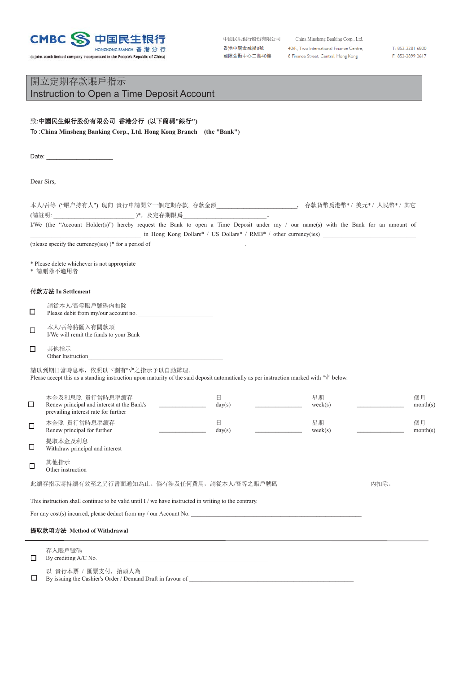

(a joint stock limited company incorporated in the People's Republic of China)

| 中國民生銀行股份有限公司 |  |
|--------------|--|
| 香港中環金融街8號    |  |
| 國際金融中心二期40樓  |  |

China Minsheng Banking Corp., Ltd. 40/F., Two International Finance Centre, 8 Finance Street, Central, Hong Kong

T: 852-2281 6800 F: 852-2899 2617

## 開立定期存款賬戶指示 Instruction to Open a Time Deposit Account

## 致:中國民生銀行股份有限公司 香港分行 (以下簡稱"銀行")

To :**China Minsheng Banking Corp., Ltd. Hong Kong Branch (the "Bank")**

Date: \_\_\_\_\_\_\_\_\_\_\_\_\_\_\_\_\_\_\_\_

Dear Sirs,

|        | 本人/吾等 ("賬户持有人") 現向 貴行申請開立一個定期存款, 存款金額_____________________________, 存款貨幣爲港幣* / 美元* / 人民幣* / 其它                                                                                   |             |               |      |                |
|--------|----------------------------------------------------------------------------------------------------------------------------------------------------------------------------------|-------------|---------------|------|----------------|
|        | I/We (the "Account Holder(s)") hereby request the Bank to open a Time Deposit under my / our name(s) with the Bank for an amount of                                              |             |               |      |                |
|        | in Hong Kong Dollars* / US Dollars* / RMB* / other currency(ies)                                                                                                                 |             |               |      |                |
|        |                                                                                                                                                                                  |             |               |      |                |
|        | * Please delete whichever is not appropriate<br>* 請删除不適用者                                                                                                                        |             |               |      |                |
|        | 付款方法 In Settlement                                                                                                                                                               |             |               |      |                |
| $\Box$ | 請從本人/吾等賬戶號碼內扣除<br>Please debit from my/our account no.                                                                                                                           |             |               |      |                |
| $\Box$ | 本人/吾等將匯入有關款項<br>I/We will remit the funds to your Bank                                                                                                                           |             |               |      |                |
| □      | 其他指示<br>Other Instruction                                                                                                                                                        |             |               |      |                |
|        | 請以到期日當時息率, 依照以下劃有"√"之指示予以自動辦理。<br>Please accept this as a standing instruction upon maturity of the said deposit automatically as per instruction marked with " $\sqrt$ " below. |             |               |      |                |
| □      | 本金及利息照 貴行當時息率續存<br>$\mathcal{L}^{\text{max}}$ and $\mathcal{L}^{\text{max}}$<br>Renew principal and interest at the Bank's<br>prevailing interest rate for further               | 日<br>day(s) | 星期<br>week(s) |      | 個月<br>month(s) |
| □      | 本金照 貴行當時息率續存<br>Renew principal for further                                                                                                                                      | 日<br>day(s) | 星期<br>week(s) |      | 個月<br>month(s) |
| $\Box$ | 提取本金及利息<br>Withdraw principal and interest                                                                                                                                       |             |               |      |                |
| $\Box$ | 其他指示<br>Other instruction                                                                                                                                                        |             |               |      |                |
|        | 此續存指示將持續有效至之另行書面通知為止。倘有涉及任何費用,請從本人/吾等之賬戶號碼                                                                                                                                       |             |               | 内扣除。 |                |
|        | This instruction shall continue to be valid until I / we have instructed in writing to the contrary.                                                                             |             |               |      |                |
|        | For any cost(s) incurred, please deduct from $my / our Account No$ .                                                                                                             |             |               |      |                |
|        | 提取款項方法 Method of Withdrawal                                                                                                                                                      |             |               |      |                |
|        | 存入賬戶號碼                                                                                                                                                                           |             |               |      |                |

 $\Box$  By crediting A/C No.

以 貴行本票 / 匯票支付, 抬頭人為

 $\Box$  By issuing the Cashier's Order / Demand Draft in favour of \_